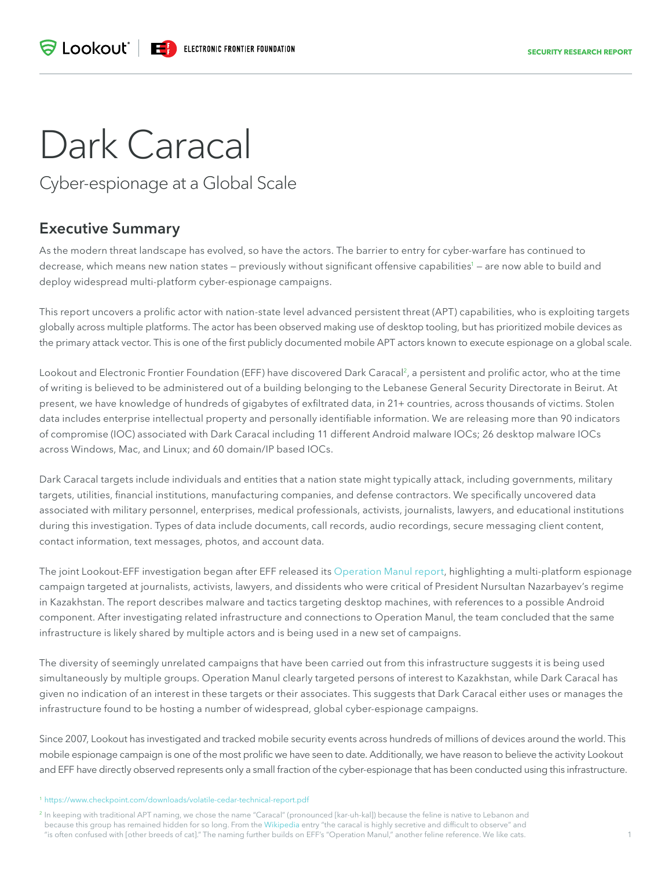# Dark Caracal

Cyber-espionage at a Global Scale

# **Executive Summary**

As the modern threat landscape has evolved, so have the actors. The barrier to entry for cyber-warfare has continued to decrease, which means new nation states – previously without significant offensive capabilities<sup>1</sup> – are now able to build and deploy widespread multi-platform cyber-espionage campaigns.

This report uncovers a prolific actor with nation-state level advanced persistent threat (APT) capabilities, who is exploiting targets globally across multiple platforms. The actor has been observed making use of desktop tooling, but has prioritized mobile devices as the primary attack vector. This is one of the first publicly documented mobile APT actors known to execute espionage on a global scale.

Lookout and Electronic Frontier Foundation (EFF) have discovered Dark Caracal<sup>2</sup>, a persistent and prolific actor, who at the time of writing is believed to be administered out of a building belonging to the Lebanese General Security Directorate in Beirut. At present, we have knowledge of hundreds of gigabytes of exfiltrated data, in 21+ countries, across thousands of victims. Stolen data includes enterprise intellectual property and personally identifiable information. We are releasing more than 90 indicators of compromise (IOC) associated with Dark Caracal including 11 different Android malware IOCs; 26 desktop malware IOCs across Windows, Mac, and Linux; and 60 domain/IP based IOCs.

Dark Caracal targets include individuals and entities that a nation state might typically attack, including governments, military targets, utilities, financial institutions, manufacturing companies, and defense contractors. We specifically uncovered data associated with military personnel, enterprises, medical professionals, activists, journalists, lawyers, and educational institutions during this investigation. Types of data include documents, call records, audio recordings, secure messaging client content, contact information, text messages, photos, and account data.

The joint Lookout-EFF investigation began after EFF released its [Operation Manul report](https://www.eff.org/files/2016/08/03/i-got-a-letter-from-the-government.pdf), highlighting a multi-platform espionage campaign targeted at journalists, activists, lawyers, and dissidents who were critical of President Nursultan Nazarbayev's regime in Kazakhstan. The report describes malware and tactics targeting desktop machines, with references to a possible Android component. After investigating related infrastructure and connections to Operation Manul, the team concluded that the same infrastructure is likely shared by multiple actors and is being used in a new set of campaigns.

The diversity of seemingly unrelated campaigns that have been carried out from this infrastructure suggests it is being used simultaneously by multiple groups. Operation Manul clearly targeted persons of interest to Kazakhstan, while Dark Caracal has given no indication of an interest in these targets or their associates. This suggests that Dark Caracal either uses or manages the infrastructure found to be hosting a number of widespread, global cyber-espionage campaigns.

Since 2007, Lookout has investigated and tracked mobile security events across hundreds of millions of devices around the world. This mobile espionage campaign is one of the most prolific we have seen to date. Additionally, we have reason to believe the activity Lookout and EFF have directly observed represents only a small fraction of the cyber-espionage that has been conducted using this infrastructure.

<sup>1</sup> <https://www.checkpoint.com/downloads/volatile-cedar-technical-report.pdf>

<sup>2</sup> In keeping with traditional APT naming, we chose the name "Caracal" (pronounced [kar-uh-kal]) because the feline is native to Lebanon and because this group has remained hidden for so long. From the [Wikipedia](https://en.wikipedia.org/wiki/Caracal) entry "the caracal is highly secretive and difficult to observe" and "is often confused with [other breeds of cat]." The naming further builds on EFF's "Operation Manul," another feline reference. We like cats.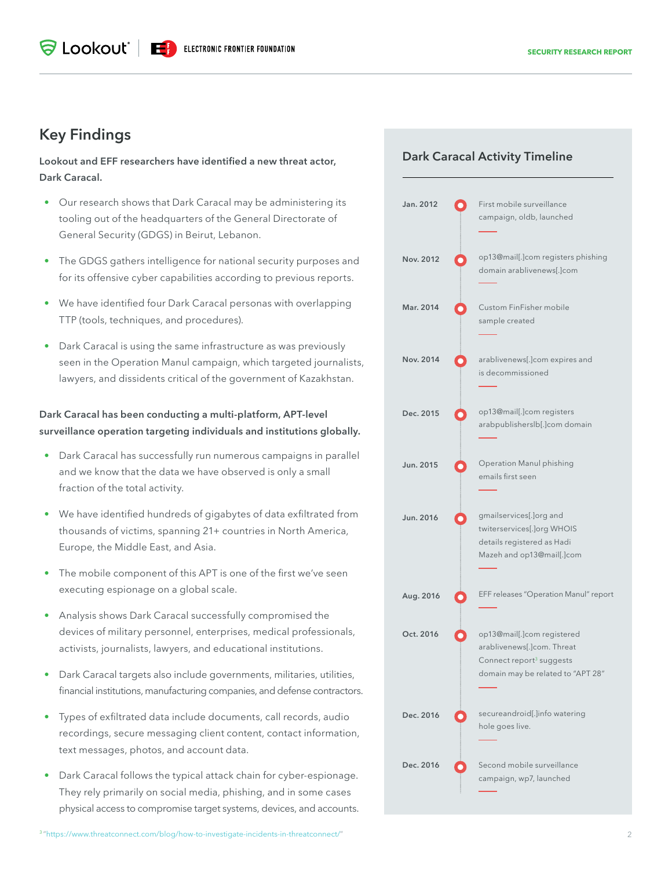## **Key Findings**

**Lookout and EFF researchers have identified a new threat actor, Dark Caracal.** 

- Our research shows that Dark Caracal may be administering its tooling out of the headquarters of the General Directorate of General Security (GDGS) in Beirut, Lebanon.
- The GDGS gathers intelligence for national security purposes and for its offensive cyber capabilities according to previous reports.
- We have identified four Dark Caracal personas with overlapping TTP (tools, techniques, and procedures).
- Dark Caracal is using the same infrastructure as was previously seen in the Operation Manul campaign, which targeted journalists, lawyers, and dissidents critical of the government of Kazakhstan.

## **Dark Caracal has been conducting a multi-platform, APT-level surveillance operation targeting individuals and institutions globally.**

- Dark Caracal has successfully run numerous campaigns in parallel and we know that the data we have observed is only a small fraction of the total activity.
- We have identified hundreds of gigabytes of data exfiltrated from thousands of victims, spanning 21+ countries in North America, Europe, the Middle East, and Asia.
- The mobile component of this APT is one of the first we've seen executing espionage on a global scale.
- Analysis shows Dark Caracal successfully compromised the devices of military personnel, enterprises, medical professionals, activists, journalists, lawyers, and educational institutions.
- Dark Caracal targets also include governments, militaries, utilities, financial institutions, manufacturing companies, and defense contractors.
- Types of exfiltrated data include documents, call records, audio recordings, secure messaging client content, contact information, text messages, photos, and account data.
- Dark Caracal follows the typical attack chain for cyber-espionage. They rely primarily on social media, phishing, and in some cases physical access to compromise target systems, devices, and accounts.

## **Dark Caracal Activity Timeline**

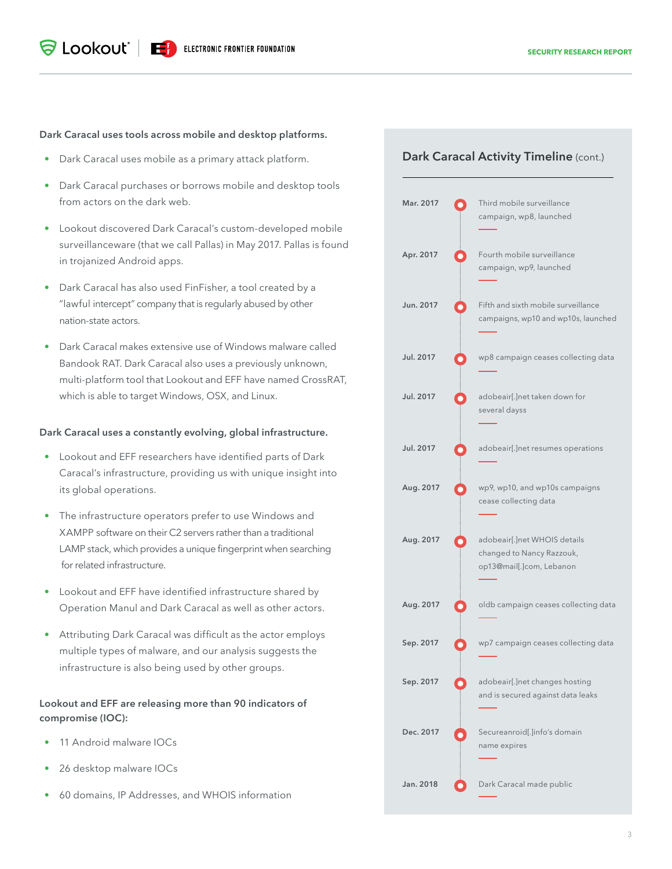#### **Dark Caracal uses tools across mobile and desktop platforms.**

- Dark Caracal uses mobile as a primary attack platform.
- Dark Caracal purchases or borrows mobile and desktop tools from actors on the dark web.
- Lookout discovered Dark Caracal's custom-developed mobile surveillanceware (that we call Pallas) in May 2017. Pallas is found in trojanized Android apps.
- Dark Caracal has also used FinFisher, a tool created by a "lawful intercept" company that is regularly abused by other nation-state actors.
- Dark Caracal makes extensive use of Windows malware called Bandook RAT. Dark Caracal also uses a previously unknown, multi-platform tool that Lookout and EFF have named CrossRAT, which is able to target Windows, OSX, and Linux.

#### **Dark Caracal uses a constantly evolving, global infrastructure.**

- Lookout and EFF researchers have identified parts of Dark Caracal's infrastructure, providing us with unique insight into its global operations.
- The infrastructure operators prefer to use Windows and XAMPP software on their C2 servers rather than a traditional LAMP stack, which provides a unique fingerprint when searching for related infrastructure.
- Lookout and EFF have identified infrastructure shared by Operation Manul and Dark Caracal as well as other actors.
- Attributing Dark Caracal was difficult as the actor employs multiple types of malware, and our analysis suggests the infrastructure is also being used by other groups.

### **Lookout and EFF are releasing more than 90 indicators of compromise (IOC):**

- 11 Android malware IOCs
- 26 desktop malware IOCs
- 60 domains, IP Addresses, and WHOIS information

## **Dark Caracal Activity Timeline** (cont.)